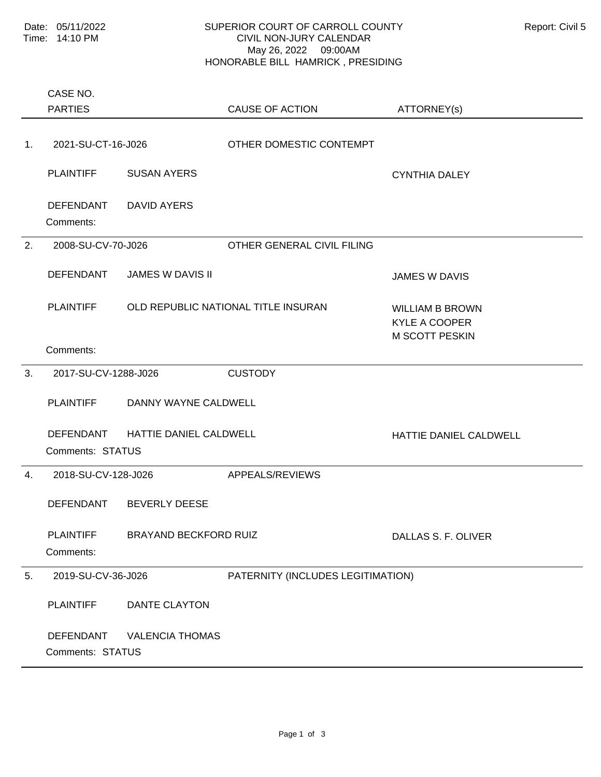## SUPERIOR COURT OF CARROLL COUNTY Report: Civil 5 CIVIL NON-JURY CALENDAR May 26, 2022 09:00AM HONORABLE BILL HAMRICK , PRESIDING

|    | CASE NO.<br><b>PARTIES</b>           |                              | <b>CAUSE OF ACTION</b>              | ATTORNEY(s)                                                             |
|----|--------------------------------------|------------------------------|-------------------------------------|-------------------------------------------------------------------------|
| 1. | 2021-SU-CT-16-J026                   |                              | OTHER DOMESTIC CONTEMPT             |                                                                         |
|    | <b>PLAINTIFF</b>                     | <b>SUSAN AYERS</b>           |                                     | <b>CYNTHIA DALEY</b>                                                    |
|    | <b>DEFENDANT</b><br>Comments:        | <b>DAVID AYERS</b>           |                                     |                                                                         |
| 2. | 2008-SU-CV-70-J026                   |                              | OTHER GENERAL CIVIL FILING          |                                                                         |
|    | <b>DEFENDANT</b>                     | <b>JAMES W DAVIS II</b>      |                                     | <b>JAMES W DAVIS</b>                                                    |
|    | <b>PLAINTIFF</b>                     |                              | OLD REPUBLIC NATIONAL TITLE INSURAN | <b>WILLIAM B BROWN</b><br><b>KYLE A COOPER</b><br><b>M SCOTT PESKIN</b> |
|    | Comments:                            |                              |                                     |                                                                         |
| 3. | 2017-SU-CV-1288-J026                 |                              | <b>CUSTODY</b>                      |                                                                         |
|    | <b>PLAINTIFF</b>                     | DANNY WAYNE CALDWELL         |                                     |                                                                         |
|    | <b>DEFENDANT</b><br>Comments: STATUS | HATTIE DANIEL CALDWELL       |                                     | HATTIE DANIEL CALDWELL                                                  |
| 4. | 2018-SU-CV-128-J026                  |                              | APPEALS/REVIEWS                     |                                                                         |
|    | <b>DEFENDANT</b>                     | <b>BEVERLY DEESE</b>         |                                     |                                                                         |
|    | <b>PLAINTIFF</b><br>Comments:        | <b>BRAYAND BECKFORD RUIZ</b> |                                     | DALLAS S. F. OLIVER                                                     |
| 5. | 2019-SU-CV-36-J026                   |                              | PATERNITY (INCLUDES LEGITIMATION)   |                                                                         |
|    | <b>PLAINTIFF</b>                     | <b>DANTE CLAYTON</b>         |                                     |                                                                         |
|    | <b>DEFENDANT</b><br>Comments: STATUS | <b>VALENCIA THOMAS</b>       |                                     |                                                                         |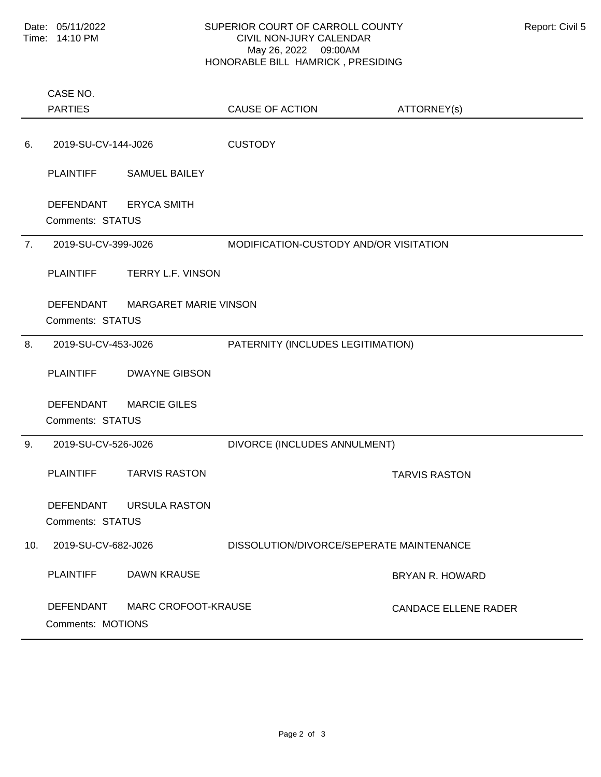## SUPERIOR COURT OF CARROLL COUNTY Report: Civil 5 CIVIL NON-JURY CALENDAR May 26, 2022 09:00AM HONORABLE BILL HAMRICK , PRESIDING

|     | <b>INSINUIVIDEE DIEE TIMININUIV, LINEOIDIIVO</b> |                                 |                                          |                             |  |  |
|-----|--------------------------------------------------|---------------------------------|------------------------------------------|-----------------------------|--|--|
|     | CASE NO.<br><b>PARTIES</b>                       |                                 | <b>CAUSE OF ACTION</b>                   | ATTORNEY(s)                 |  |  |
| 6.  | 2019-SU-CV-144-J026                              |                                 | <b>CUSTODY</b>                           |                             |  |  |
|     | <b>PLAINTIFF</b>                                 | <b>SAMUEL BAILEY</b>            |                                          |                             |  |  |
|     | DEFENDANT ERYCA SMITH<br>Comments: STATUS        |                                 |                                          |                             |  |  |
| 7.  | 2019-SU-CV-399-J026                              |                                 | MODIFICATION-CUSTODY AND/OR VISITATION   |                             |  |  |
|     | <b>PLAINTIFF</b>                                 | <b>TERRY L.F. VINSON</b>        |                                          |                             |  |  |
|     | Comments: STATUS                                 | DEFENDANT MARGARET MARIE VINSON |                                          |                             |  |  |
| 8.  | 2019-SU-CV-453-J026                              |                                 | PATERNITY (INCLUDES LEGITIMATION)        |                             |  |  |
|     | <b>PLAINTIFF</b>                                 | <b>DWAYNE GIBSON</b>            |                                          |                             |  |  |
|     | DEFENDANT<br>Comments: STATUS                    | <b>MARCIE GILES</b>             |                                          |                             |  |  |
| 9.  | 2019-SU-CV-526-J026                              |                                 | DIVORCE (INCLUDES ANNULMENT)             |                             |  |  |
|     | <b>PLAINTIFF</b>                                 | <b>TARVIS RASTON</b>            |                                          | <b>TARVIS RASTON</b>        |  |  |
|     |                                                  | DEFENDANT URSULA RASTON         |                                          |                             |  |  |
|     | Comments: STATUS                                 |                                 |                                          |                             |  |  |
| 10. | 2019-SU-CV-682-J026                              |                                 | DISSOLUTION/DIVORCE/SEPERATE MAINTENANCE |                             |  |  |
|     | <b>PLAINTIFF</b>                                 | <b>DAWN KRAUSE</b>              |                                          | <b>BRYAN R. HOWARD</b>      |  |  |
|     | <b>DEFENDANT</b><br>Comments: MOTIONS            | MARC CROFOOT-KRAUSE             |                                          | <b>CANDACE ELLENE RADER</b> |  |  |
|     |                                                  |                                 |                                          |                             |  |  |